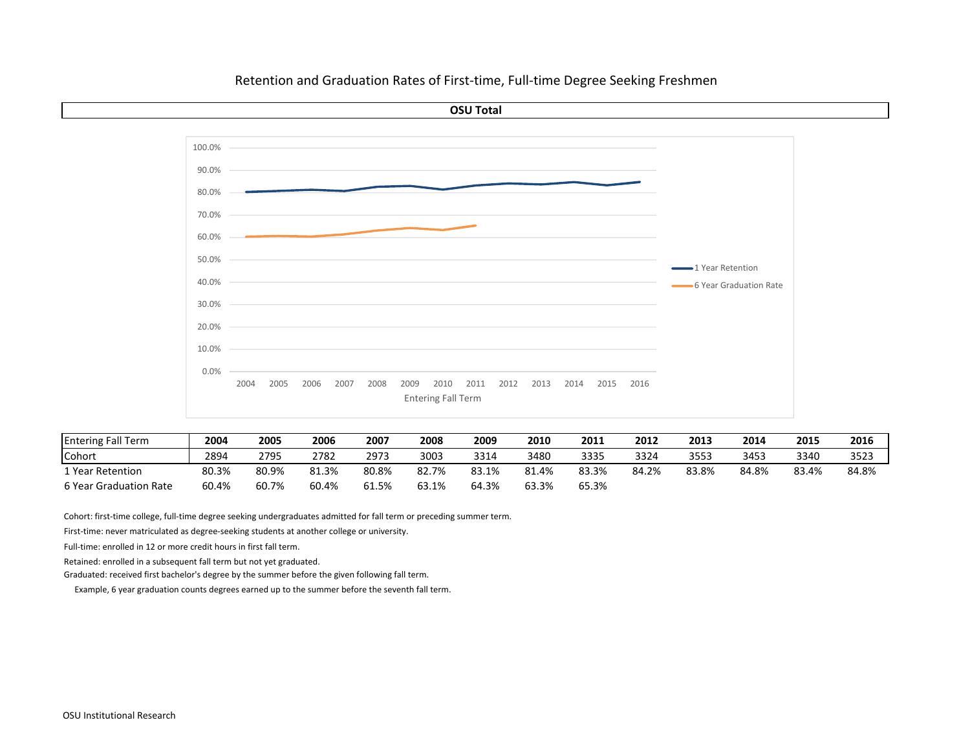

| <b>Entering Fall Term</b> | 2004  | 2005  | 2006  | 2007  | 2008  | 2009  | 2010  | 2011  | 2012  | 2013  | 2014  | 2015  | 2016  |
|---------------------------|-------|-------|-------|-------|-------|-------|-------|-------|-------|-------|-------|-------|-------|
| Cohori                    | 2894  | 2795  | 2782  | 2973  | 3003  | 3314  | 3480  | 3335  | 3324  | 3553  | 3453  | 3340  | 3523  |
| 1 Year Retention          | 80.3% | 80.9% | 81.3% | 80.8% | 82.7% | 83.1% | 81.4% | 83.3% | 84.2% | 83.8% | 84.8% | 83.4% | 84.8% |
| 6 Year Graduation Rate    | 60.4% | 60.7% | 60.4% | 61.5% | 63.1% | 64.3% | 63.3% | 65.3% |       |       |       |       |       |

Cohort: first‐time college, full‐time degree seeking undergraduates admitted for fall term or preceding summer term.

First‐time: never matriculated as degree‐seeking students at another college or university.

Full‐time: enrolled in 12 or more credit hours in first fall term.

Retained: enrolled in <sup>a</sup> subsequent fall term but not yet graduated.

Graduated: received first bachelor's degree by the summer before the given following fall term.

Example, 6 year graduation counts degrees earned up to the summer before the seventh fall term.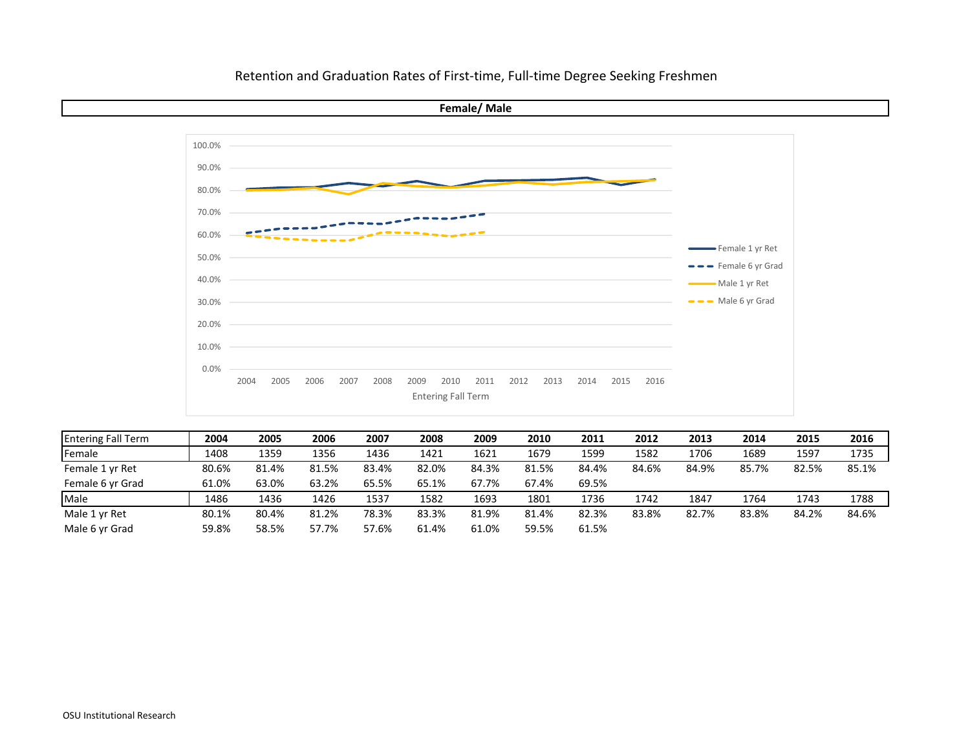

| <b>Entering Fall Term</b> | 2004  | 2005  | 2006  | 2007  | 2008  | 2009  | 2010  | 2011  | 2012  | 2013  | 2014  | 2015  | 2016  |
|---------------------------|-------|-------|-------|-------|-------|-------|-------|-------|-------|-------|-------|-------|-------|
| Female                    | 1408  | 1359  | 1356  | 1436  | 1421  | 1621  | 1679  | 1599  | 1582  | 1706  | 1689  | 1597  | 1735  |
| Female 1 yr Ret           | 80.6% | 81.4% | 81.5% | 83.4% | 82.0% | 84.3% | 81.5% | 84.4% | 84.6% | 84.9% | 85.7% | 82.5% | 85.1% |
| Female 6 yr Grad          | 61.0% | 63.0% | 63.2% | 65.5% | 65.1% | 67.7% | 67.4% | 69.5% |       |       |       |       |       |
| Male                      | 1486  | 1436  | 1426  | 1537  | 1582  | 1693  | 1801  | 1736  | 1742  | 1847  | 1764  | 1743  | 1788  |
| Male 1 yr Ret             | 80.1% | 80.4% | 81.2% | 78.3% | 83.3% | 81.9% | 81.4% | 82.3% | 83.8% | 82.7% | 83.8% | 84.2% | 84.6% |
| Male 6 yr Grad            | 59.8% | 58.5% | 57.7% | 57.6% | 61.4% | 61.0% | 59.5% | 61.5% |       |       |       |       |       |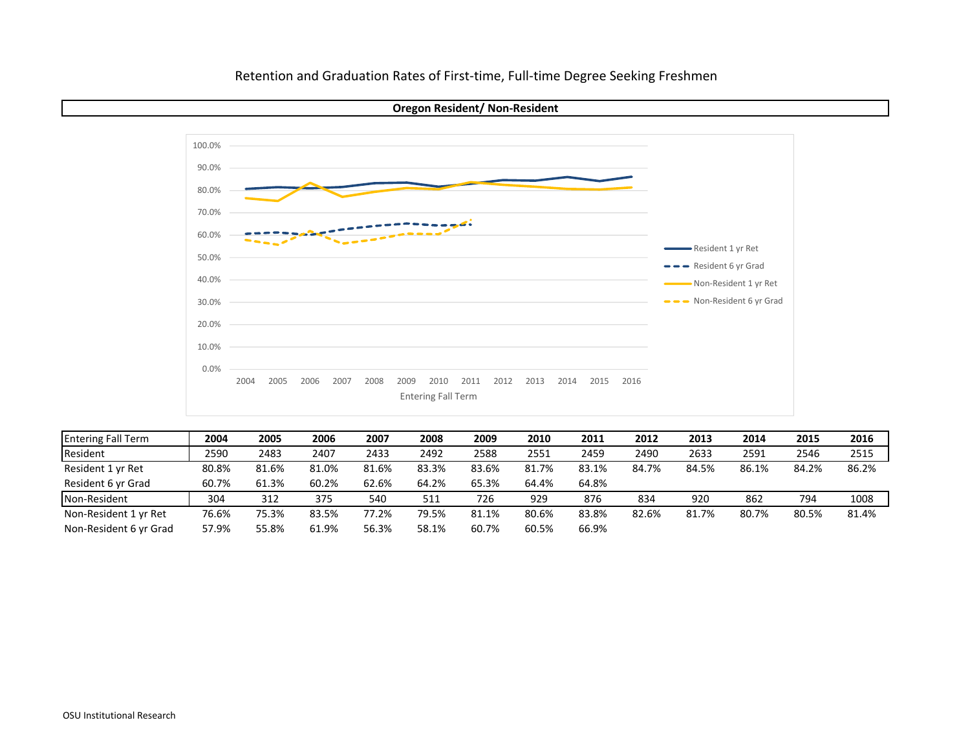



| <b>Entering Fall Term</b> | 2004  | 2005  | 2006  | 2007  | 2008  | 2009  | 2010  | 2011  | 2012  | 2013  | 2014  | 2015  | 2016  |
|---------------------------|-------|-------|-------|-------|-------|-------|-------|-------|-------|-------|-------|-------|-------|
| Resident                  | 2590  | 2483  | 2407  | 2433  | 2492  | 2588  | 2551  | 2459  | 2490  | 2633  | 2591  | 2546  | 2515  |
| Resident 1 yr Ret         | 80.8% | 81.6% | 81.0% | 81.6% | 83.3% | 83.6% | 81.7% | 83.1% | 84.7% | 84.5% | 86.1% | 84.2% | 86.2% |
| Resident 6 yr Grad        | 60.7% | 61.3% | 60.2% | 62.6% | 64.2% | 65.3% | 64.4% | 64.8% |       |       |       |       |       |
| Non-Resident              | 304   | 312   | 375   | 540   | 511   | 726   | 929   | 876   | 834   | 920   | 862   | 794   | 1008  |
| Non-Resident 1 yr Ret     | 76.6% | 75.3% | 83.5% | 77.2% | 79.5% | 81.1% | 80.6% | 83.8% | 82.6% | 81.7% | 80.7% | 80.5% | 81.4% |
| Non-Resident 6 yr Grad    | 57.9% | 55.8% | 61.9% | 56.3% | 58.1% | 60.7% | 60.5% | 66.9% |       |       |       |       |       |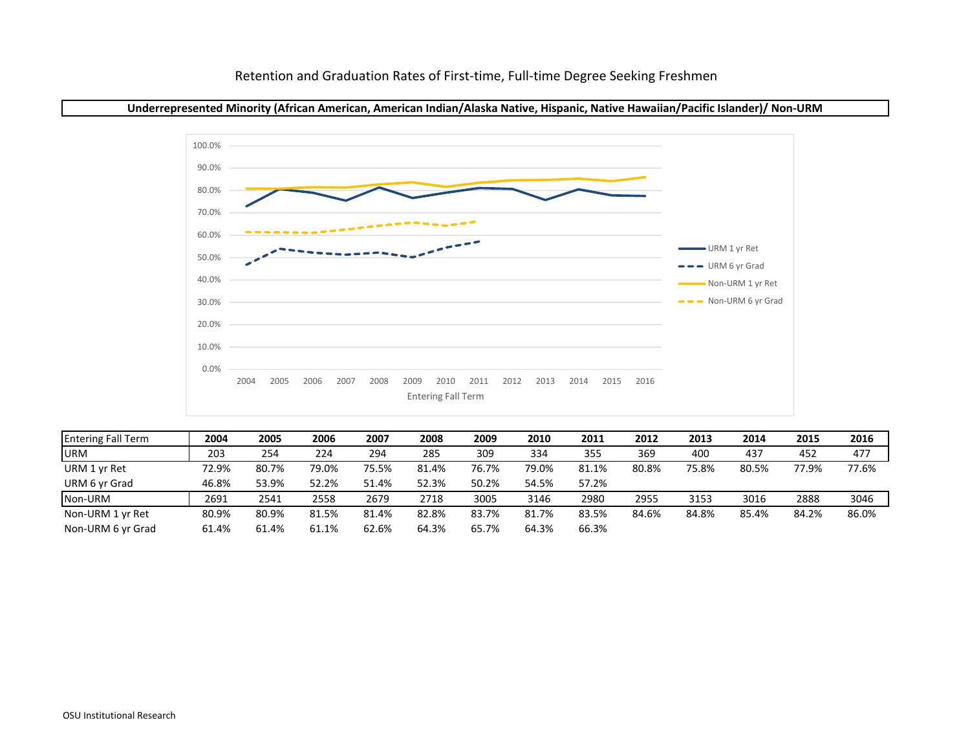



| <b>Entering Fall Term</b> | 2004  | 2005  | 2006  | 2007  | 2008  | 2009  | 2010  | 2011  | 2012  | 2013  | 2014  | 2015  | 2016  |
|---------------------------|-------|-------|-------|-------|-------|-------|-------|-------|-------|-------|-------|-------|-------|
| <b>URM</b>                | 203   | 254   | 224   | 294   | 285   | 309   | 334   | 355   | 369   | 400   | 437   | 452   | 477   |
| URM 1 yr Ret              | 72.9% | 80.7% | 79.0% | 75.5% | 81.4% | 76.7% | 79.0% | 81.1% | 80.8% | 75.8% | 80.5% | 77.9% | 77.6% |
| URM 6 yr Grad             | 46.8% | 53.9% | 52.2% | 51.4% | 52.3% | 50.2% | 54.5% | 57.2% |       |       |       |       |       |
| Non-URM                   | 2691  | 2541  | 2558  | 2679  | 2718  | 3005  | 3146  | 2980  | 2955  | 3153  | 3016  | 2888  | 3046  |
| Non-URM 1 yr Ret          | 80.9% | 80.9% | 81.5% | 81.4% | 82.8% | 83.7% | 81.7% | 83.5% | 84.6% | 84.8% | 85.4% | 84.2% | 86.0% |
| Non-URM 6 vr Grad         | 61.4% | 61.4% | 61.1% | 62.6% | 64.3% | 65.7% | 64.3% | 66.3% |       |       |       |       |       |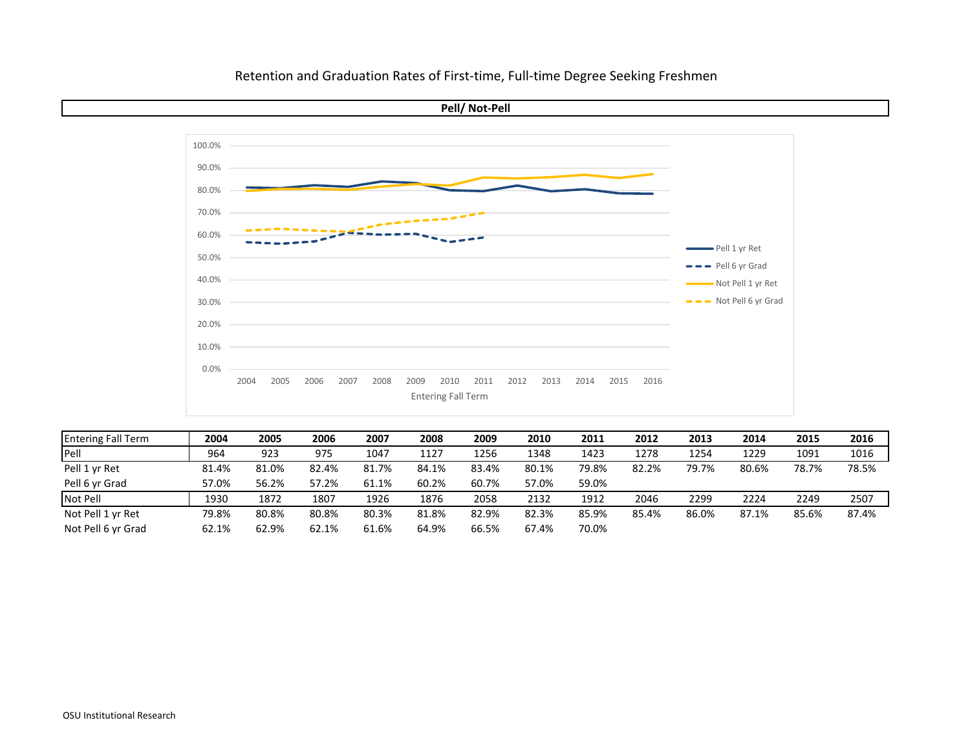

**Pell/ Not‐Pell**

| <b>Entering Fall Term</b> | 2004  | 2005  | 2006  | 2007  | 2008  | 2009  | 2010  | 2011  | 2012  | 2013  | 2014  | 2015  | 2016  |
|---------------------------|-------|-------|-------|-------|-------|-------|-------|-------|-------|-------|-------|-------|-------|
| Pell                      | 964   | 923   | 975   | 1047  | 1127  | 1256  | 1348  | 1423  | 1278  | 1254  | 1229  | 1091  | 1016  |
| Pell 1 yr Ret             | 81.4% | 81.0% | 82.4% | 81.7% | 84.1% | 83.4% | 80.1% | 79.8% | 82.2% | 79.7% | 80.6% | 78.7% | 78.5% |
| Pell 6 yr Grad            | 57.0% | 56.2% | 57.2% | 61.1% | 60.2% | 60.7% | 57.0% | 59.0% |       |       |       |       |       |
| Not Pell                  | 1930  | 1872  | 1807  | 1926  | 1876  | 2058  | 2132  | 1912  | 2046  | 2299  | 2224  | 2249  | 2507  |
| Not Pell 1 yr Ret         | 79.8% | 80.8% | 80.8% | 80.3% | 81.8% | 82.9% | 82.3% | 85.9% | 85.4% | 86.0% | 87.1% | 85.6% | 87.4% |
| Not Pell 6 yr Grad        | 62.1% | 62.9% | 62.1% | 61.6% | 64.9% | 66.5% | 67.4% | 70.0% |       |       |       |       |       |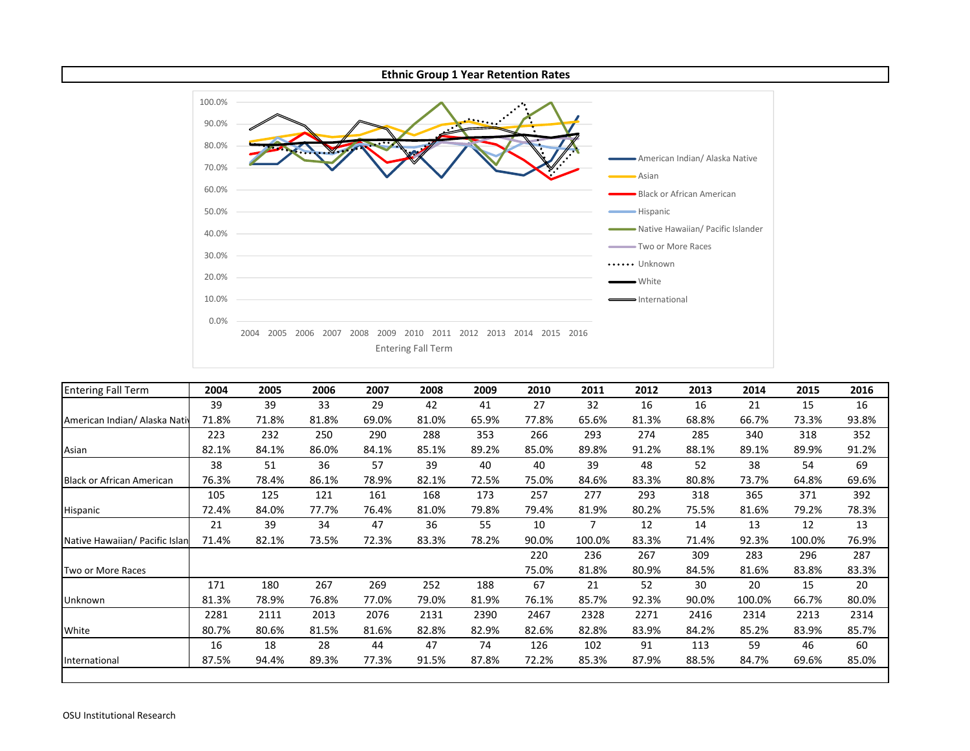

| <b>Entering Fall Term</b>        | 2004  | 2005  | 2006  | 2007  | 2008  | 2009  | 2010  | 2011   | 2012  | 2013  | 2014   | 2015   | 2016  |
|----------------------------------|-------|-------|-------|-------|-------|-------|-------|--------|-------|-------|--------|--------|-------|
|                                  | 39    | 39    | 33    | 29    | 42    | 41    | 27    | 32     | 16    | 16    | 21     | 15     | 16    |
| American Indian/ Alaska Nativ    | 71.8% | 71.8% | 81.8% | 69.0% | 81.0% | 65.9% | 77.8% | 65.6%  | 81.3% | 68.8% | 66.7%  | 73.3%  | 93.8% |
|                                  | 223   | 232   | 250   | 290   | 288   | 353   | 266   | 293    | 274   | 285   | 340    | 318    | 352   |
| Asian                            | 82.1% | 84.1% | 86.0% | 84.1% | 85.1% | 89.2% | 85.0% | 89.8%  | 91.2% | 88.1% | 89.1%  | 89.9%  | 91.2% |
|                                  | 38    | 51    | 36    | 57    | 39    | 40    | 40    | 39     | 48    | 52    | 38     | 54     | 69    |
| <b>Black or African American</b> | 76.3% | 78.4% | 86.1% | 78.9% | 82.1% | 72.5% | 75.0% | 84.6%  | 83.3% | 80.8% | 73.7%  | 64.8%  | 69.6% |
|                                  | 105   | 125   | 121   | 161   | 168   | 173   | 257   | 277    | 293   | 318   | 365    | 371    | 392   |
| Hispanic                         | 72.4% | 84.0% | 77.7% | 76.4% | 81.0% | 79.8% | 79.4% | 81.9%  | 80.2% | 75.5% | 81.6%  | 79.2%  | 78.3% |
|                                  | 21    | 39    | 34    | 47    | 36    | 55    | 10    |        | 12    | 14    | 13     | 12     | 13    |
| Native Hawaiian/ Pacific Islan   | 71.4% | 82.1% | 73.5% | 72.3% | 83.3% | 78.2% | 90.0% | 100.0% | 83.3% | 71.4% | 92.3%  | 100.0% | 76.9% |
|                                  |       |       |       |       |       |       | 220   | 236    | 267   | 309   | 283    | 296    | 287   |
| Two or More Races                |       |       |       |       |       |       | 75.0% | 81.8%  | 80.9% | 84.5% | 81.6%  | 83.8%  | 83.3% |
|                                  | 171   | 180   | 267   | 269   | 252   | 188   | 67    | 21     | 52    | 30    | 20     | 15     | 20    |
| Unknown                          | 81.3% | 78.9% | 76.8% | 77.0% | 79.0% | 81.9% | 76.1% | 85.7%  | 92.3% | 90.0% | 100.0% | 66.7%  | 80.0% |
|                                  | 2281  | 2111  | 2013  | 2076  | 2131  | 2390  | 2467  | 2328   | 2271  | 2416  | 2314   | 2213   | 2314  |
| White                            | 80.7% | 80.6% | 81.5% | 81.6% | 82.8% | 82.9% | 82.6% | 82.8%  | 83.9% | 84.2% | 85.2%  | 83.9%  | 85.7% |
|                                  | 16    | 18    | 28    | 44    | 47    | 74    | 126   | 102    | 91    | 113   | 59     | 46     | 60    |
| International                    | 87.5% | 94.4% | 89.3% | 77.3% | 91.5% | 87.8% | 72.2% | 85.3%  | 87.9% | 88.5% | 84.7%  | 69.6%  | 85.0% |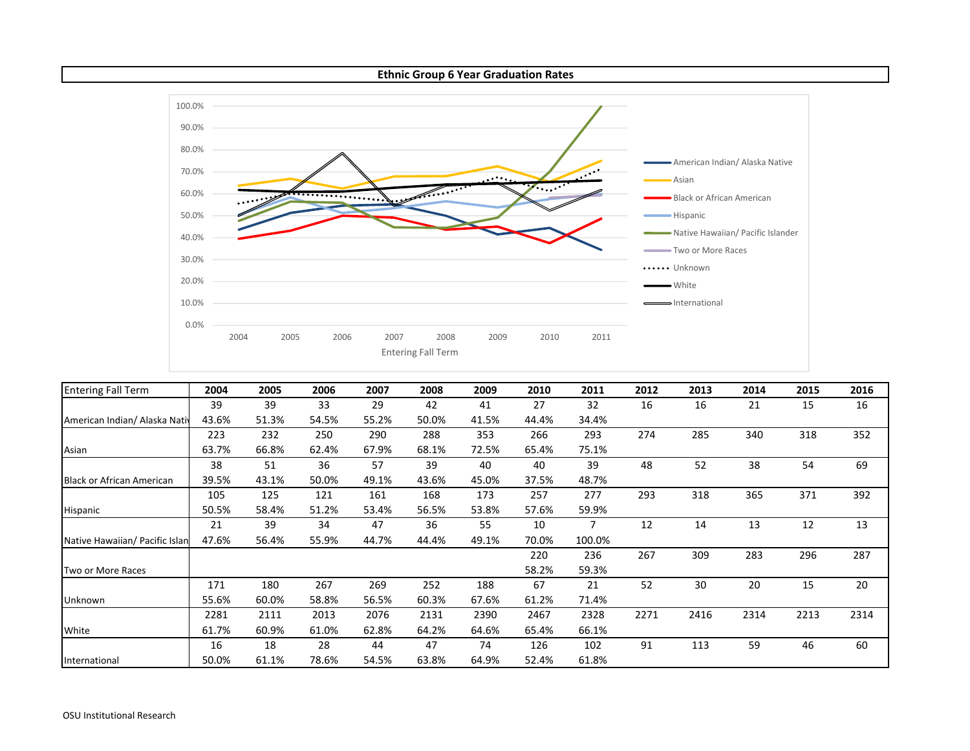#### **Ethnic Group 6 Year Graduation Rates**



| <b>Entering Fall Term</b>        | 2004  | 2005  | 2006  | 2007  | 2008  | 2009  | 2010  | 2011   | 2012 | 2013 | 2014 | 2015 | 2016 |
|----------------------------------|-------|-------|-------|-------|-------|-------|-------|--------|------|------|------|------|------|
|                                  | 39    | 39    | 33    | 29    | 42    | 41    | 27    | 32     | 16   | 16   | 21   | 15   | 16   |
| American Indian/ Alaska Nativ    | 43.6% | 51.3% | 54.5% | 55.2% | 50.0% | 41.5% | 44.4% | 34.4%  |      |      |      |      |      |
|                                  | 223   | 232   | 250   | 290   | 288   | 353   | 266   | 293    | 274  | 285  | 340  | 318  | 352  |
| Asian                            | 63.7% | 66.8% | 62.4% | 67.9% | 68.1% | 72.5% | 65.4% | 75.1%  |      |      |      |      |      |
|                                  | 38    | 51    | 36    | 57    | 39    | 40    | 40    | 39     | 48   | 52   | 38   | 54   | 69   |
| <b>Black or African American</b> | 39.5% | 43.1% | 50.0% | 49.1% | 43.6% | 45.0% | 37.5% | 48.7%  |      |      |      |      |      |
|                                  | 105   | 125   | 121   | 161   | 168   | 173   | 257   | 277    | 293  | 318  | 365  | 371  | 392  |
| Hispanic                         | 50.5% | 58.4% | 51.2% | 53.4% | 56.5% | 53.8% | 57.6% | 59.9%  |      |      |      |      |      |
|                                  | 21    | 39    | 34    | 47    | 36    | 55    | 10    | 7      | 12   | 14   | 13   | 12   | 13   |
| Native Hawaiian/ Pacific Islan   | 47.6% | 56.4% | 55.9% | 44.7% | 44.4% | 49.1% | 70.0% | 100.0% |      |      |      |      |      |
|                                  |       |       |       |       |       |       | 220   | 236    | 267  | 309  | 283  | 296  | 287  |
| Two or More Races                |       |       |       |       |       |       | 58.2% | 59.3%  |      |      |      |      |      |
|                                  | 171   | 180   | 267   | 269   | 252   | 188   | 67    | 21     | 52   | 30   | 20   | 15   | 20   |
| Unknown                          | 55.6% | 60.0% | 58.8% | 56.5% | 60.3% | 67.6% | 61.2% | 71.4%  |      |      |      |      |      |
|                                  | 2281  | 2111  | 2013  | 2076  | 2131  | 2390  | 2467  | 2328   | 2271 | 2416 | 2314 | 2213 | 2314 |
| White                            | 61.7% | 60.9% | 61.0% | 62.8% | 64.2% | 64.6% | 65.4% | 66.1%  |      |      |      |      |      |
|                                  | 16    | 18    | 28    | 44    | 47    | 74    | 126   | 102    | 91   | 113  | 59   | 46   | 60   |
| International                    | 50.0% | 61.1% | 78.6% | 54.5% | 63.8% | 64.9% | 52.4% | 61.8%  |      |      |      |      |      |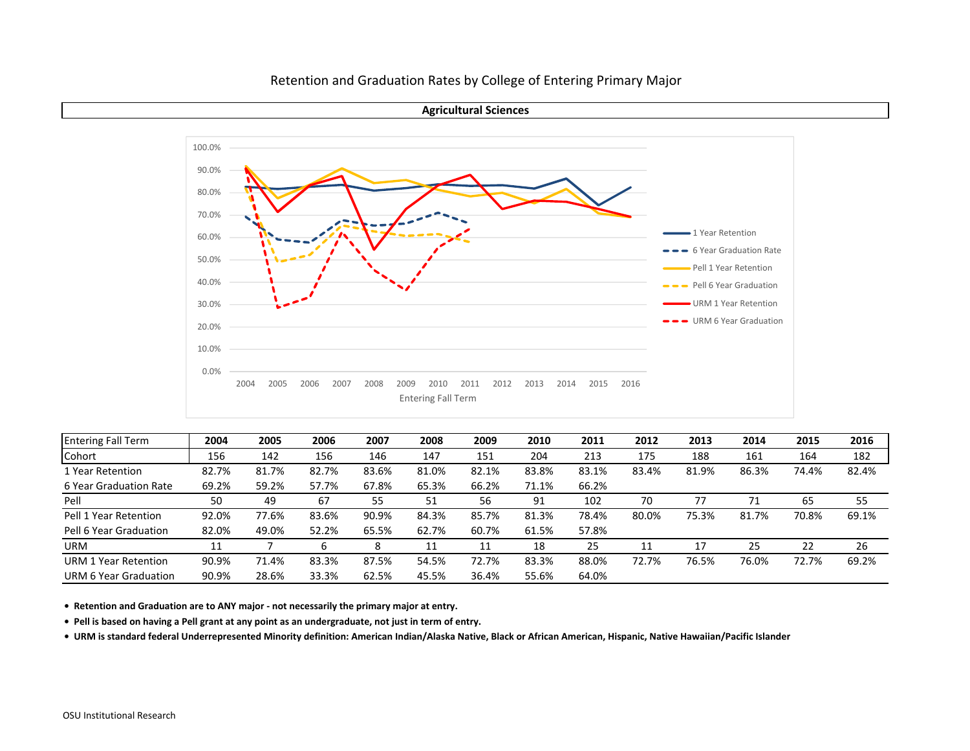**Agricultural Sciences**



| <b>Entering Fall Term</b> | 2004  | 2005  | 2006  | 2007  | 2008  | 2009  | 2010  | 2011  | 2012  | 2013  | 2014  | 2015  | 2016  |
|---------------------------|-------|-------|-------|-------|-------|-------|-------|-------|-------|-------|-------|-------|-------|
| Cohort                    | 156   | 142   | 156   | 146   | 147   | 151   | 204   | 213   | 175   | 188   | 161   | 164   | 182   |
| 1 Year Retention          | 82.7% | 81.7% | 82.7% | 83.6% | 81.0% | 82.1% | 83.8% | 83.1% | 83.4% | 81.9% | 86.3% | 74.4% | 82.4% |
| 6 Year Graduation Rate    | 69.2% | 59.2% | 57.7% | 67.8% | 65.3% | 66.2% | 71.1% | 66.2% |       |       |       |       |       |
| Pell                      | 50    | 49    | 67    | 55    | 51    | 56    | 91    | 102   | 70    |       | 71    | 65    | 55    |
| Pell 1 Year Retention     | 92.0% | 77.6% | 83.6% | 90.9% | 84.3% | 85.7% | 81.3% | 78.4% | 80.0% | 75.3% | 81.7% | 70.8% | 69.1% |
| Pell 6 Year Graduation    | 82.0% | 49.0% | 52.2% | 65.5% | 62.7% | 60.7% | 61.5% | 57.8% |       |       |       |       |       |
| <b>URM</b>                | 11    |       | b     | 8     | 11    | 11    | 18    | 25    |       | 17    | 25    | 22    | 26    |
| URM 1 Year Retention      | 90.9% | 71.4% | 83.3% | 87.5% | 54.5% | 72.7% | 83.3% | 88.0% | 72.7% | 76.5% | 76.0% | 72.7% | 69.2% |
| URM 6 Year Graduation     | 90.9% | 28.6% | 33.3% | 62.5% | 45.5% | 36.4% | 55.6% | 64.0% |       |       |       |       |       |

**• Retention and Graduation are to ANY major ‐ not necessarily the primary major at entry.**

Pell is based on having a Pell grant at any point as an undergraduate, not just in term of entry.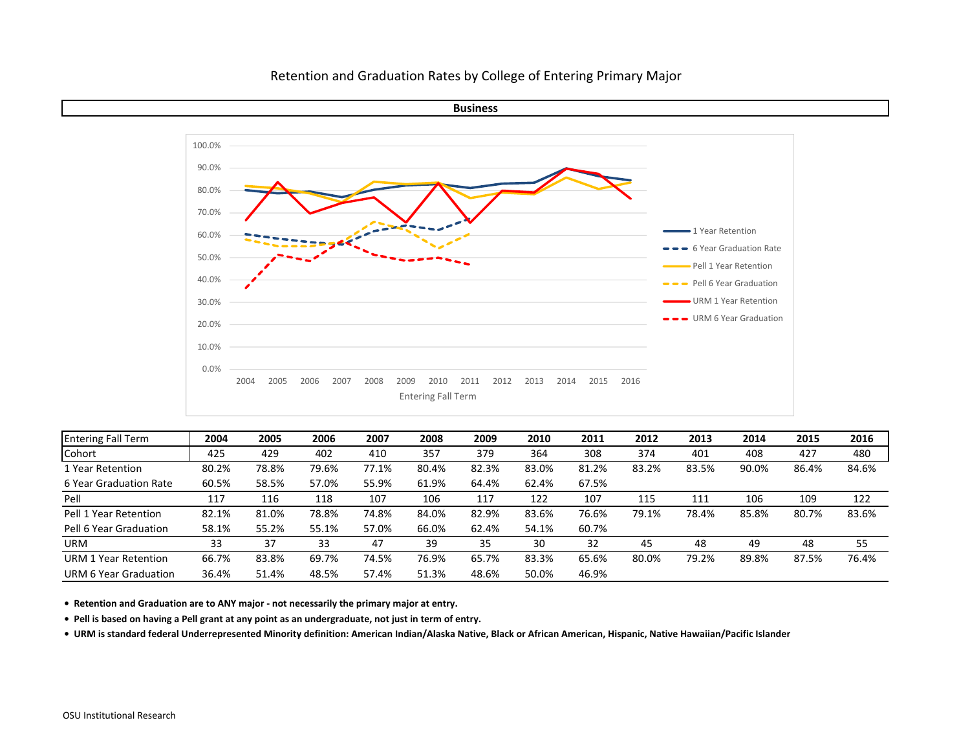

| <b>Entering Fall Term</b> | 2004  | 2005  | 2006  | 2007  | 2008  | 2009  | 2010  | 2011  | 2012  | 2013  | 2014  | 2015  | 2016  |
|---------------------------|-------|-------|-------|-------|-------|-------|-------|-------|-------|-------|-------|-------|-------|
| Cohort                    | 425   | 429   | 402   | 410   | 357   | 379   | 364   | 308   | 374   | 401   | 408   | 427   | 480   |
| 1 Year Retention          | 80.2% | 78.8% | 79.6% | 77.1% | 80.4% | 82.3% | 83.0% | 81.2% | 83.2% | 83.5% | 90.0% | 86.4% | 84.6% |
| 6 Year Graduation Rate    | 60.5% | 58.5% | 57.0% | 55.9% | 61.9% | 64.4% | 62.4% | 67.5% |       |       |       |       |       |
| Pell                      | 117   | 116   | 118   | 107   | 106   | 117   | 122   | 107   | 115   | 111   | 106   | 109   | 122   |
| Pell 1 Year Retention     | 82.1% | 81.0% | 78.8% | 74.8% | 84.0% | 82.9% | 83.6% | 76.6% | 79.1% | 78.4% | 85.8% | 80.7% | 83.6% |
| Pell 6 Year Graduation    | 58.1% | 55.2% | 55.1% | 57.0% | 66.0% | 62.4% | 54.1% | 60.7% |       |       |       |       |       |
| URM                       | 33    | 37    | 33    | 47    | 39    | 35    | 30    | 32    | 45    | 48    | 49    | 48    | 55    |
| URM 1 Year Retention      | 66.7% | 83.8% | 69.7% | 74.5% | 76.9% | 65.7% | 83.3% | 65.6% | 80.0% | 79.2% | 89.8% | 87.5% | 76.4% |
| URM 6 Year Graduation     | 36.4% | 51.4% | 48.5% | 57.4% | 51.3% | 48.6% | 50.0% | 46.9% |       |       |       |       |       |

**• Retention and Graduation are to ANY major ‐ not necessarily the primary major at entry.**

Pell is based on having a Pell grant at any point as an undergraduate, not just in term of entry.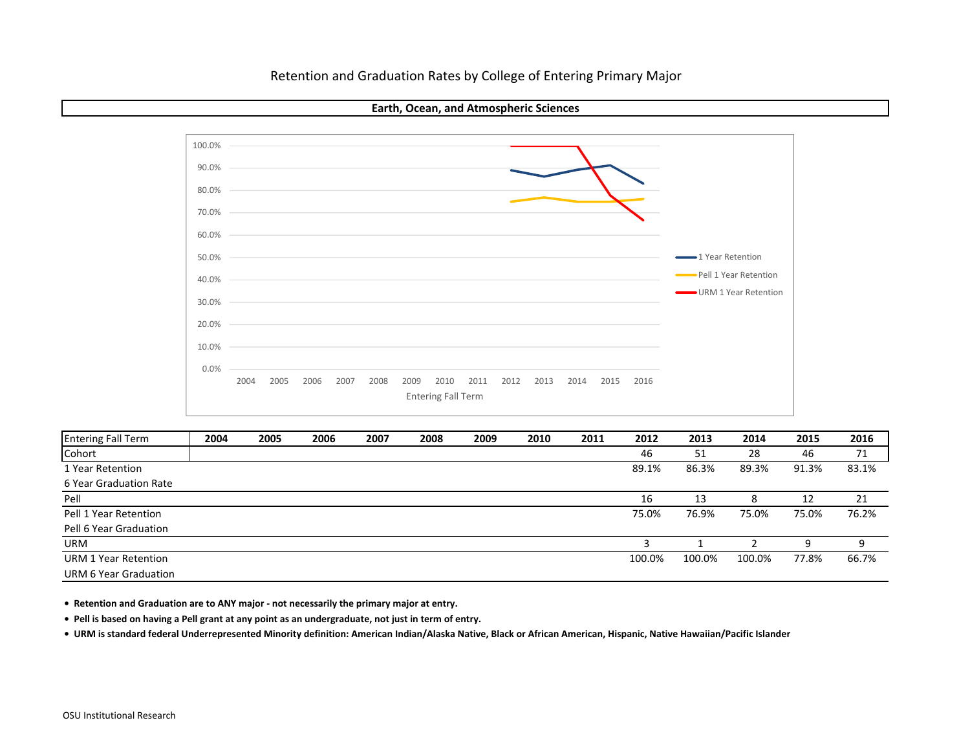**Earth, Ocean, and Atmospheric Sciences**



| <b>Entering Fall Term</b> | 2004 | 2005 | 2006 | 2007 | 2008 | 2009 | 2010 | 2011 | 2012   | 2013   | 2014   | 2015  | 2016  |
|---------------------------|------|------|------|------|------|------|------|------|--------|--------|--------|-------|-------|
| Cohort                    |      |      |      |      |      |      |      |      | 46     | 51     | 28     | 46    | 71    |
| 1 Year Retention          |      |      |      |      |      |      |      |      | 89.1%  | 86.3%  | 89.3%  | 91.3% | 83.1% |
| 6 Year Graduation Rate    |      |      |      |      |      |      |      |      |        |        |        |       |       |
| Pell                      |      |      |      |      |      |      |      |      | 16     | 13     | 8      | 12    | 21    |
| Pell 1 Year Retention     |      |      |      |      |      |      |      |      | 75.0%  | 76.9%  | 75.0%  | 75.0% | 76.2% |
| Pell 6 Year Graduation    |      |      |      |      |      |      |      |      |        |        |        |       |       |
| <b>URM</b>                |      |      |      |      |      |      |      |      |        |        |        |       | 9     |
| URM 1 Year Retention      |      |      |      |      |      |      |      |      | 100.0% | 100.0% | 100.0% | 77.8% | 66.7% |
| URM 6 Year Graduation     |      |      |      |      |      |      |      |      |        |        |        |       |       |

**• Retention and Graduation are to ANY major ‐ not necessarily the primary major at entry.**

Pell is based on having a Pell grant at any point as an undergraduate, not just in term of entry.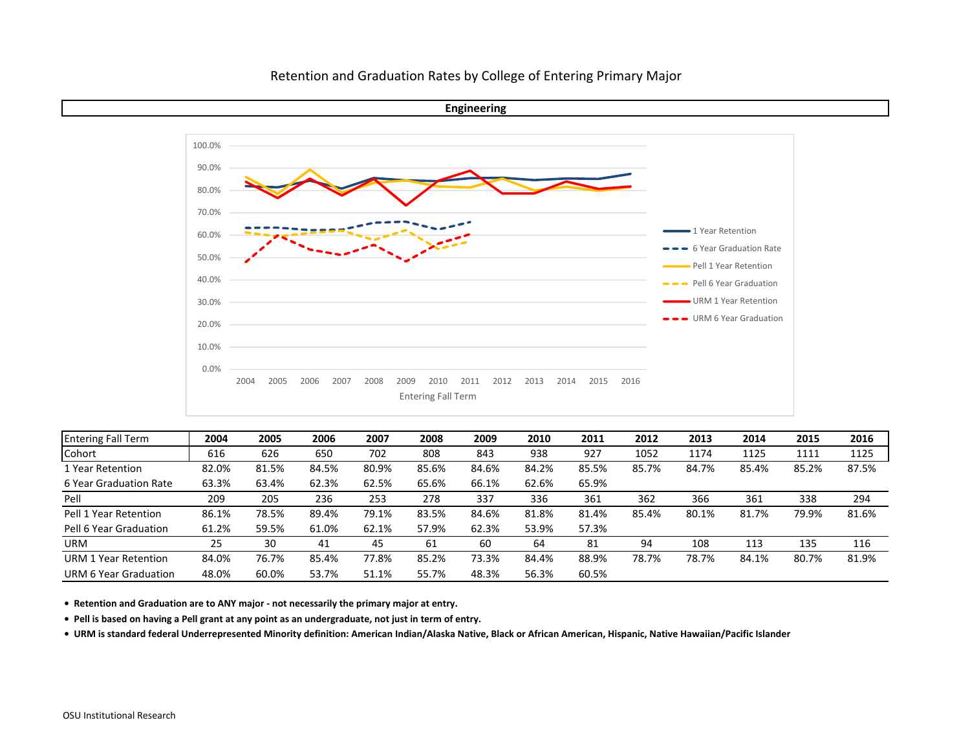

| <b>Entering Fall Term</b>   | 2004  | 2005  | 2006  | 2007  | 2008  | 2009  | 2010  | 2011  | 2012  | 2013  | 2014  | 2015  | 2016  |
|-----------------------------|-------|-------|-------|-------|-------|-------|-------|-------|-------|-------|-------|-------|-------|
| Cohort                      | 616   | 626   | 650   | 702   | 808   | 843   | 938   | 927   | 1052  | 1174  | 1125  | 1111  | 1125  |
| 1 Year Retention            | 82.0% | 81.5% | 84.5% | 80.9% | 85.6% | 84.6% | 84.2% | 85.5% | 85.7% | 84.7% | 85.4% | 85.2% | 87.5% |
| 6 Year Graduation Rate      | 63.3% | 63.4% | 62.3% | 62.5% | 65.6% | 66.1% | 62.6% | 65.9% |       |       |       |       |       |
| Pell                        | 209   | 205   | 236   | 253   | 278   | 337   | 336   | 361   | 362   | 366   | 361   | 338   | 294   |
| Pell 1 Year Retention       | 86.1% | 78.5% | 89.4% | 79.1% | 83.5% | 84.6% | 81.8% | 81.4% | 85.4% | 80.1% | 81.7% | 79.9% | 81.6% |
| Pell 6 Year Graduation      | 61.2% | 59.5% | 61.0% | 62.1% | 57.9% | 62.3% | 53.9% | 57.3% |       |       |       |       |       |
| <b>URM</b>                  | 25    | 30    | 41    | 45    | 61    | 60    | 64    | 81    | 94    | 108   | 113   | 135   | 116   |
| <b>URM 1 Year Retention</b> | 84.0% | 76.7% | 85.4% | 77.8% | 85.2% | 73.3% | 84.4% | 88.9% | 78.7% | 78.7% | 84.1% | 80.7% | 81.9% |
| URM 6 Year Graduation       | 48.0% | 60.0% | 53.7% | 51.1% | 55.7% | 48.3% | 56.3% | 60.5% |       |       |       |       |       |

**• Retention and Graduation are to ANY major ‐ not necessarily the primary major at entry.**

Pell is based on having a Pell grant at any point as an undergraduate, not just in term of entry.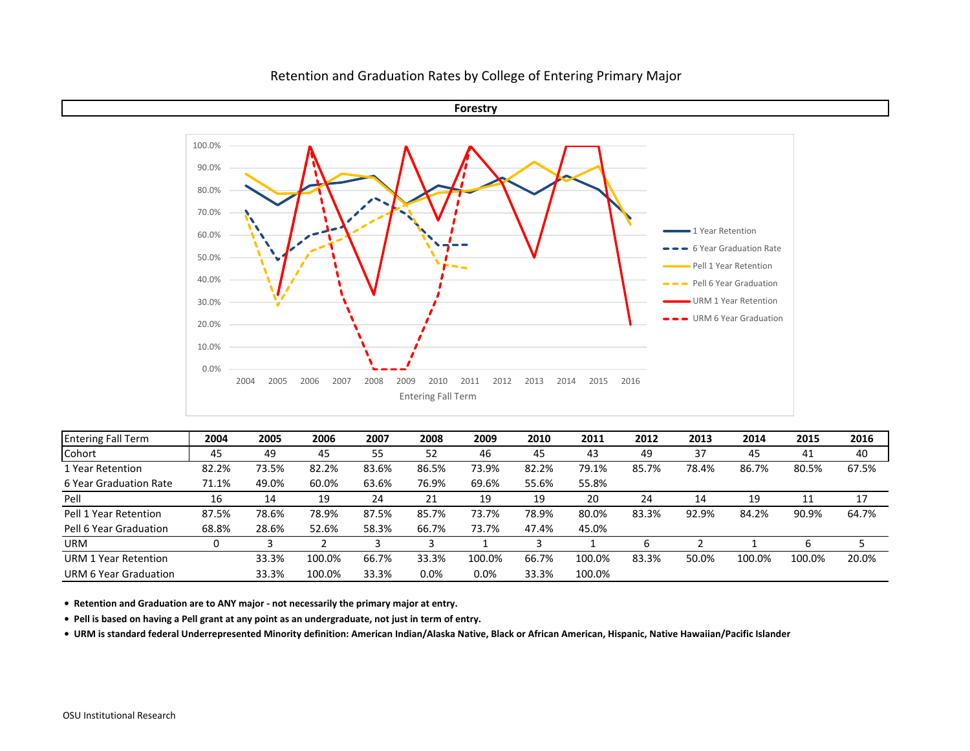

| <b>Entering Fall Term</b>   | 2004  | 2005  | 2006   | 2007  | 2008    | 2009   | 2010  | 2011   | 2012  | 2013  | 2014   | 2015   | 2016  |
|-----------------------------|-------|-------|--------|-------|---------|--------|-------|--------|-------|-------|--------|--------|-------|
| Cohort                      | 45    | 49    | 45     | 55    | 52      | 46     | 45    | 43     | 49    | 37    | 45     | 41     | 40    |
| 1 Year Retention            | 82.2% | 73.5% | 82.2%  | 83.6% | 86.5%   | 73.9%  | 82.2% | 79.1%  | 85.7% | 78.4% | 86.7%  | 80.5%  | 67.5% |
| 6 Year Graduation Rate      | 71.1% | 49.0% | 60.0%  | 63.6% | 76.9%   | 69.6%  | 55.6% | 55.8%  |       |       |        |        |       |
| Pell                        | 16    | 14    | 19     | 24    | 21      | 19     | 19    | 20     | 24    | 14    | 19     | 11     | 17    |
| Pell 1 Year Retention       | 87.5% | 78.6% | 78.9%  | 87.5% | 85.7%   | 73.7%  | 78.9% | 80.0%  | 83.3% | 92.9% | 84.2%  | 90.9%  | 64.7% |
| Pell 6 Year Graduation      | 68.8% | 28.6% | 52.6%  | 58.3% | 66.7%   | 73.7%  | 47.4% | 45.0%  |       |       |        |        |       |
| <b>URM</b>                  |       |       |        |       |         |        |       |        |       |       |        |        |       |
| <b>URM 1 Year Retention</b> |       | 33.3% | 100.0% | 66.7% | 33.3%   | 100.0% | 66.7% | 100.0% | 83.3% | 50.0% | 100.0% | 100.0% | 20.0% |
| URM 6 Year Graduation       |       | 33.3% | 100.0% | 33.3% | $0.0\%$ | 0.0%   | 33.3% | 100.0% |       |       |        |        |       |

**• Retention and Graduation are to ANY major ‐ not necessarily the primary major at entry.**

Pell is based on having a Pell grant at any point as an undergraduate, not just in term of entry.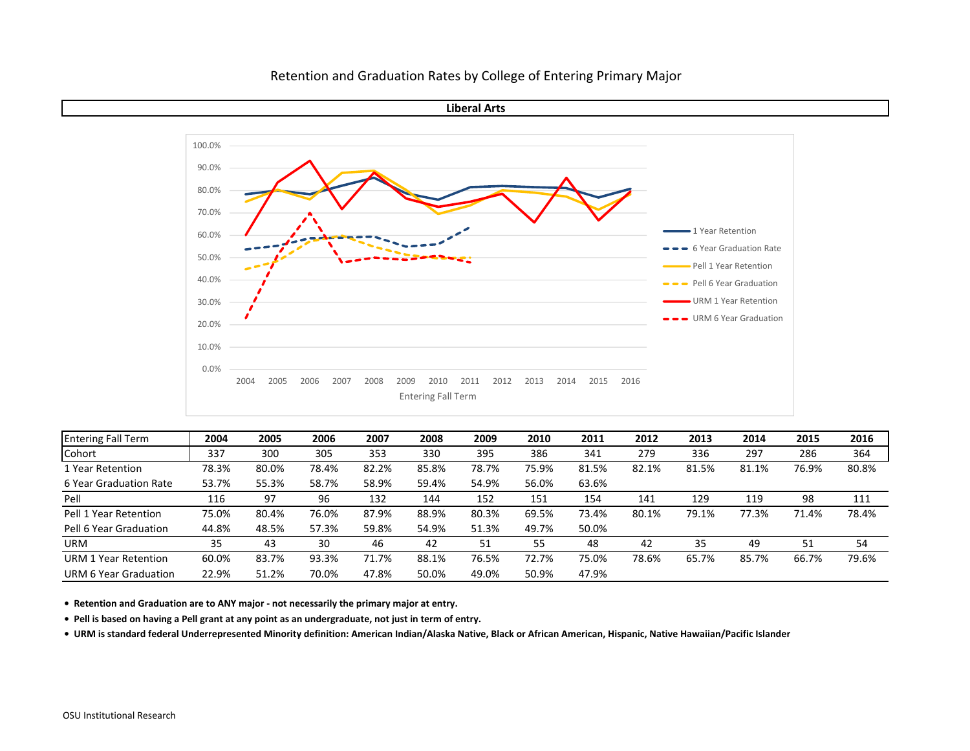

| <b>Entering Fall Term</b> | 2004  | 2005  | 2006  | 2007  | 2008  | 2009  | 2010  | 2011  | 2012  | 2013  | 2014  | 2015  | 2016  |
|---------------------------|-------|-------|-------|-------|-------|-------|-------|-------|-------|-------|-------|-------|-------|
| Cohort                    | 337   | 300   | 305   | 353   | 330   | 395   | 386   | 341   | 279   | 336   | 297   | 286   | 364   |
| 1 Year Retention          | 78.3% | 80.0% | 78.4% | 82.2% | 85.8% | 78.7% | 75.9% | 81.5% | 82.1% | 81.5% | 81.1% | 76.9% | 80.8% |
| 6 Year Graduation Rate    | 53.7% | 55.3% | 58.7% | 58.9% | 59.4% | 54.9% | 56.0% | 63.6% |       |       |       |       |       |
| Pell                      | 116   | 97    | 96    | 132   | 144   | 152   | 151   | 154   | 141   | 129   | 119   | 98    | 111   |
| Pell 1 Year Retention     | 75.0% | 80.4% | 76.0% | 87.9% | 88.9% | 80.3% | 69.5% | 73.4% | 80.1% | 79.1% | 77.3% | 71.4% | 78.4% |
| Pell 6 Year Graduation    | 44.8% | 48.5% | 57.3% | 59.8% | 54.9% | 51.3% | 49.7% | 50.0% |       |       |       |       |       |
| <b>URM</b>                | 35    | 43    | 30    | 46    | 42    | 51    | 55    | 48    | 42    | 35    | 49    | 51    | 54    |
| URM 1 Year Retention      | 60.0% | 83.7% | 93.3% | 71.7% | 88.1% | 76.5% | 72.7% | 75.0% | 78.6% | 65.7% | 85.7% | 66.7% | 79.6% |
| URM 6 Year Graduation     | 22.9% | 51.2% | 70.0% | 47.8% | 50.0% | 49.0% | 50.9% | 47.9% |       |       |       |       |       |

**• Retention and Graduation are to ANY major ‐ not necessarily the primary major at entry.**

Pell is based on having a Pell grant at any point as an undergraduate, not just in term of entry.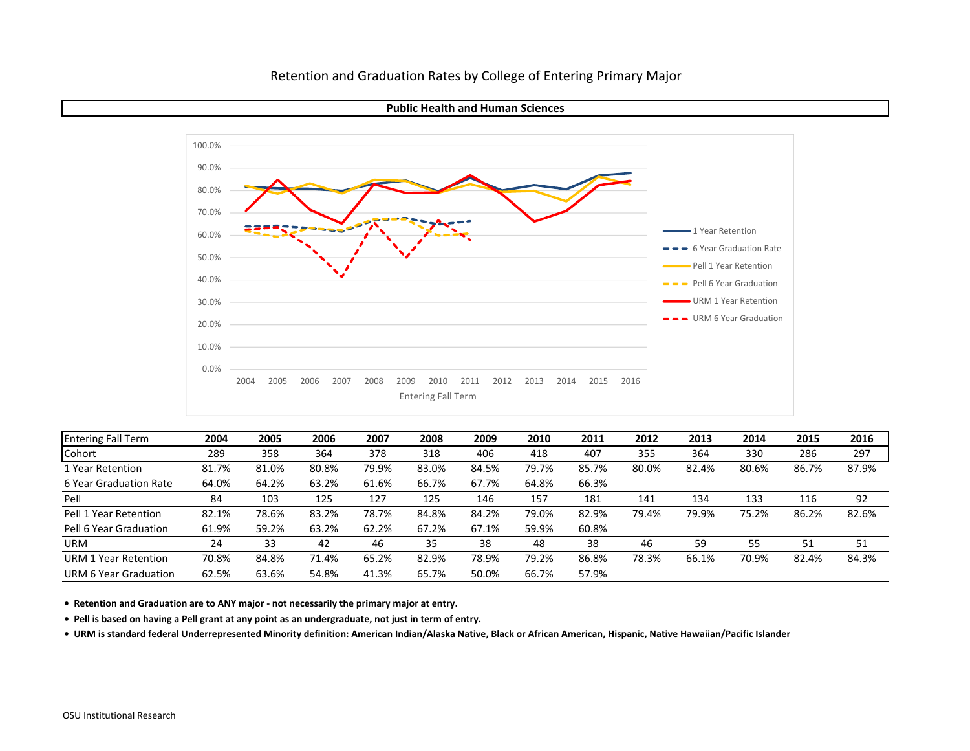



| <b>Entering Fall Term</b> | 2004  | 2005  | 2006  | 2007  | 2008  | 2009  | 2010  | 2011  | 2012  | 2013  | 2014  | 2015  | 2016  |
|---------------------------|-------|-------|-------|-------|-------|-------|-------|-------|-------|-------|-------|-------|-------|
| Cohort                    | 289   | 358   | 364   | 378   | 318   | 406   | 418   | 407   | 355   | 364   | 330   | 286   | 297   |
| 1 Year Retention          | 81.7% | 81.0% | 80.8% | 79.9% | 83.0% | 84.5% | 79.7% | 85.7% | 80.0% | 82.4% | 80.6% | 86.7% | 87.9% |
| 6 Year Graduation Rate    | 64.0% | 64.2% | 63.2% | 61.6% | 66.7% | 67.7% | 64.8% | 66.3% |       |       |       |       |       |
| Pell                      | 84    | 103   | 125   | 127   | 125   | 146   | 157   | 181   | 141   | 134   | 133   | 116   | 92    |
| Pell 1 Year Retention     | 82.1% | 78.6% | 83.2% | 78.7% | 84.8% | 84.2% | 79.0% | 82.9% | 79.4% | 79.9% | 75.2% | 86.2% | 82.6% |
| Pell 6 Year Graduation    | 61.9% | 59.2% | 63.2% | 62.2% | 67.2% | 67.1% | 59.9% | 60.8% |       |       |       |       |       |
| <b>URM</b>                | 24    | 33    | 42    | 46    | 35    | 38    | 48    | 38    | 46    | 59    | 55    | 51    | 51    |
| URM 1 Year Retention      | 70.8% | 84.8% | 71.4% | 65.2% | 82.9% | 78.9% | 79.2% | 86.8% | 78.3% | 66.1% | 70.9% | 82.4% | 84.3% |
| URM 6 Year Graduation     | 62.5% | 63.6% | 54.8% | 41.3% | 65.7% | 50.0% | 66.7% | 57.9% |       |       |       |       |       |

**• Retention and Graduation are to ANY major ‐ not necessarily the primary major at entry.**

Pell is based on having a Pell grant at any point as an undergraduate, not just in term of entry.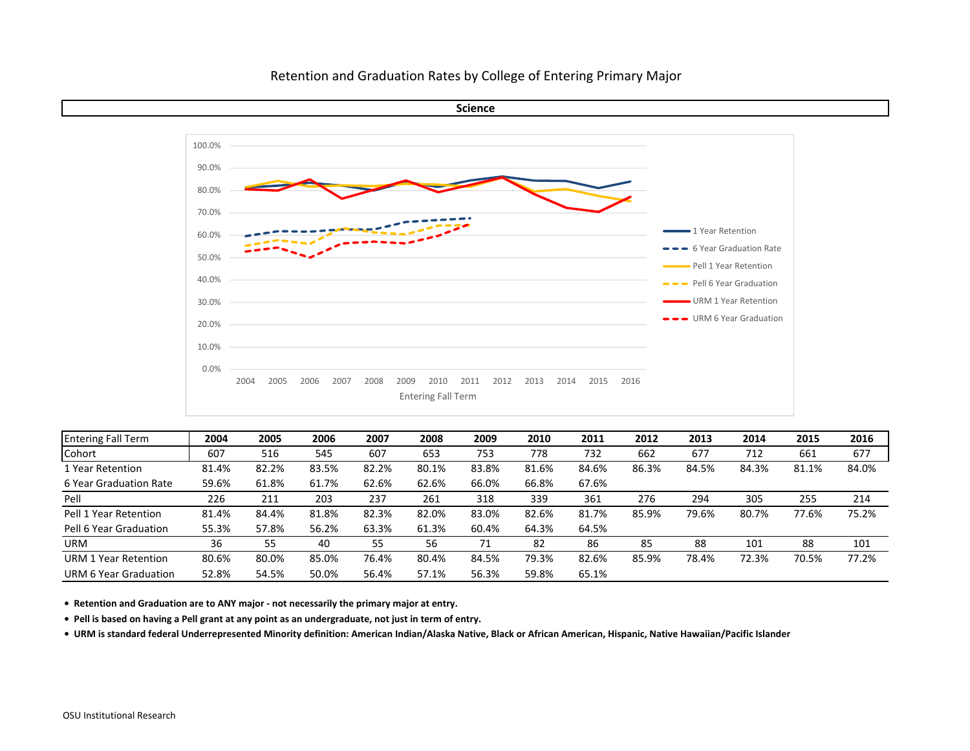

| <b>Entering Fall Term</b>   | 2004  | 2005  | 2006  | 2007  | 2008  | 2009  | 2010  | 2011  | 2012  | 2013  | 2014  | 2015  | 2016  |
|-----------------------------|-------|-------|-------|-------|-------|-------|-------|-------|-------|-------|-------|-------|-------|
| Cohort                      | 607   | 516   | 545   | 607   | 653   | 753   | 778   | 732   | 662   | 677   | 712   | 661   | 677   |
| 1 Year Retention            | 81.4% | 82.2% | 83.5% | 82.2% | 80.1% | 83.8% | 81.6% | 84.6% | 86.3% | 84.5% | 84.3% | 81.1% | 84.0% |
| 6 Year Graduation Rate      | 59.6% | 61.8% | 61.7% | 62.6% | 62.6% | 66.0% | 66.8% | 67.6% |       |       |       |       |       |
| Pell                        | 226   | 211   | 203   | 237   | 261   | 318   | 339   | 361   | 276   | 294   | 305   | 255   | 214   |
| Pell 1 Year Retention       | 81.4% | 84.4% | 81.8% | 82.3% | 82.0% | 83.0% | 82.6% | 81.7% | 85.9% | 79.6% | 80.7% | 77.6% | 75.2% |
| Pell 6 Year Graduation      | 55.3% | 57.8% | 56.2% | 63.3% | 61.3% | 60.4% | 64.3% | 64.5% |       |       |       |       |       |
| <b>URM</b>                  | 36    | 55    | 40    | 55    | 56    | 71    | 82    | 86    | 85    | 88    | 101   | 88    | 101   |
| <b>URM 1 Year Retention</b> | 80.6% | 80.0% | 85.0% | 76.4% | 80.4% | 84.5% | 79.3% | 82.6% | 85.9% | 78.4% | 72.3% | 70.5% | 77.2% |
| URM 6 Year Graduation       | 52.8% | 54.5% | 50.0% | 56.4% | 57.1% | 56.3% | 59.8% | 65.1% |       |       |       |       |       |

**• Retention and Graduation are to ANY major ‐ not necessarily the primary major at entry.**

Pell is based on having a Pell grant at any point as an undergraduate, not just in term of entry.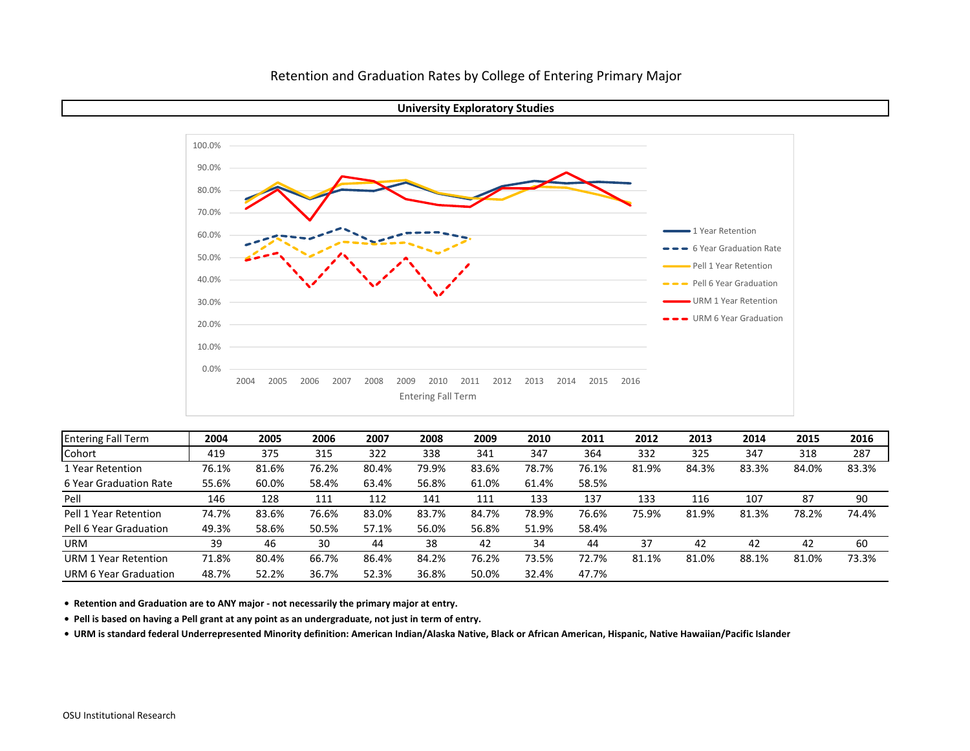



| <b>Entering Fall Term</b> | 2004  | 2005  | 2006  | 2007  | 2008  | 2009  | 2010  | 2011  | 2012  | 2013  | 2014  | 2015  | 2016  |
|---------------------------|-------|-------|-------|-------|-------|-------|-------|-------|-------|-------|-------|-------|-------|
| Cohort                    | 419   | 375   | 315   | 322   | 338   | 341   | 347   | 364   | 332   | 325   | 347   | 318   | 287   |
| 1 Year Retention          | 76.1% | 81.6% | 76.2% | 80.4% | 79.9% | 83.6% | 78.7% | 76.1% | 81.9% | 84.3% | 83.3% | 84.0% | 83.3% |
| 6 Year Graduation Rate    | 55.6% | 60.0% | 58.4% | 63.4% | 56.8% | 61.0% | 61.4% | 58.5% |       |       |       |       |       |
| Pell                      | 146   | 128   | 111   | 112   | 141   | 111   | 133   | 137   | 133   | 116   | 107   | 87    | 90    |
| Pell 1 Year Retention     | 74.7% | 83.6% | 76.6% | 83.0% | 83.7% | 84.7% | 78.9% | 76.6% | 75.9% | 81.9% | 81.3% | 78.2% | 74.4% |
| Pell 6 Year Graduation    | 49.3% | 58.6% | 50.5% | 57.1% | 56.0% | 56.8% | 51.9% | 58.4% |       |       |       |       |       |
| <b>URM</b>                | 39    | 46    | 30    | 44    | 38    | 42    | 34    | 44    | 37    | 42    | 42    | 42    | 60    |
| URM 1 Year Retention      | 71.8% | 80.4% | 66.7% | 86.4% | 84.2% | 76.2% | 73.5% | 72.7% | 81.1% | 81.0% | 88.1% | 81.0% | 73.3% |
| URM 6 Year Graduation     | 48.7% | 52.2% | 36.7% | 52.3% | 36.8% | 50.0% | 32.4% | 47.7% |       |       |       |       |       |

**• Retention and Graduation are to ANY major ‐ not necessarily the primary major at entry.**

Pell is based on having a Pell grant at any point as an undergraduate, not just in term of entry.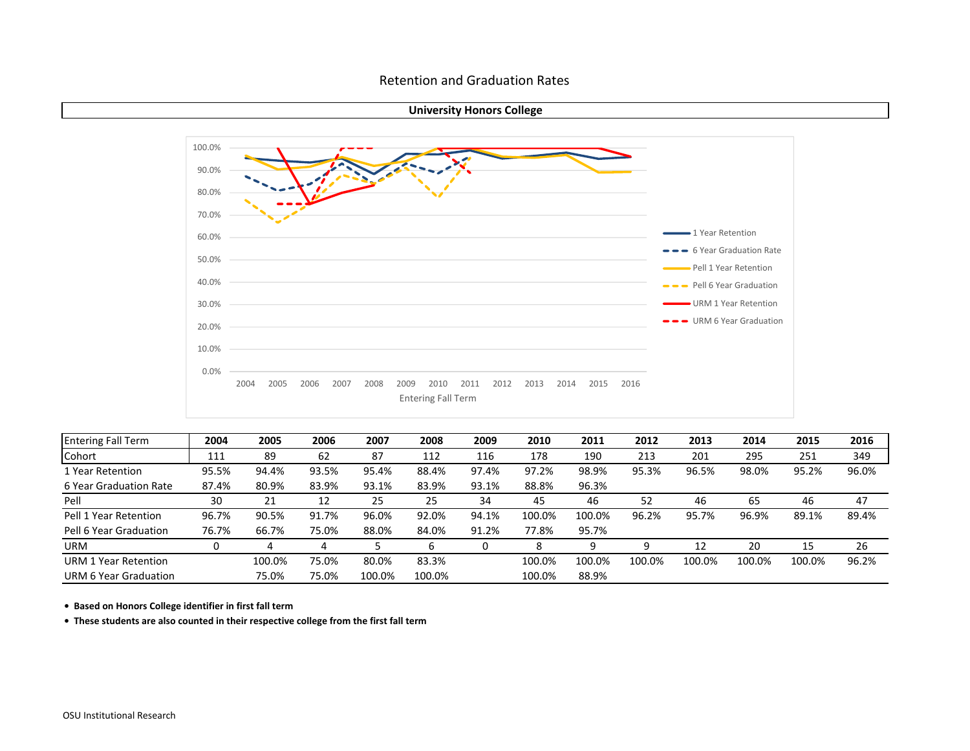#### Retention and Graduation Rates





| <b>Entering Fall Term</b> | 2004  | 2005   | 2006  | 2007   | 2008   | 2009  | 2010   | 2011   | 2012   | 2013   | 2014   | 2015   | 2016  |
|---------------------------|-------|--------|-------|--------|--------|-------|--------|--------|--------|--------|--------|--------|-------|
| Cohort                    | 111   | 89     | 62    | 87     | 112    | 116   | 178    | 190    | 213    | 201    | 295    | 251    | 349   |
| 1 Year Retention          | 95.5% | 94.4%  | 93.5% | 95.4%  | 88.4%  | 97.4% | 97.2%  | 98.9%  | 95.3%  | 96.5%  | 98.0%  | 95.2%  | 96.0% |
| 6 Year Graduation Rate    | 87.4% | 80.9%  | 83.9% | 93.1%  | 83.9%  | 93.1% | 88.8%  | 96.3%  |        |        |        |        |       |
| Pell                      | 30    | 21     | 12    | 25     | 25     | 34    | 45     | 46     | 52     | 46     | 65     | 46     | 47    |
| Pell 1 Year Retention     | 96.7% | 90.5%  | 91.7% | 96.0%  | 92.0%  | 94.1% | 100.0% | 100.0% | 96.2%  | 95.7%  | 96.9%  | 89.1%  | 89.4% |
| Pell 6 Year Graduation    | 76.7% | 66.7%  | 75.0% | 88.0%  | 84.0%  | 91.2% | 77.8%  | 95.7%  |        |        |        |        |       |
| <b>URM</b>                |       |        | 4     |        | b      | 0     | 8      | 9      |        | 12     | 20     | 15     | 26    |
| URM 1 Year Retention      |       | 100.0% | 75.0% | 80.0%  | 83.3%  |       | 100.0% | 100.0% | 100.0% | 100.0% | 100.0% | 100.0% | 96.2% |
| URM 6 Year Graduation     |       | 75.0%  | 75.0% | 100.0% | 100.0% |       | 100.0% | 88.9%  |        |        |        |        |       |

**• Based on Honors College identifier in first fall term**

**• These students are also counted in their respective college from the first fall term**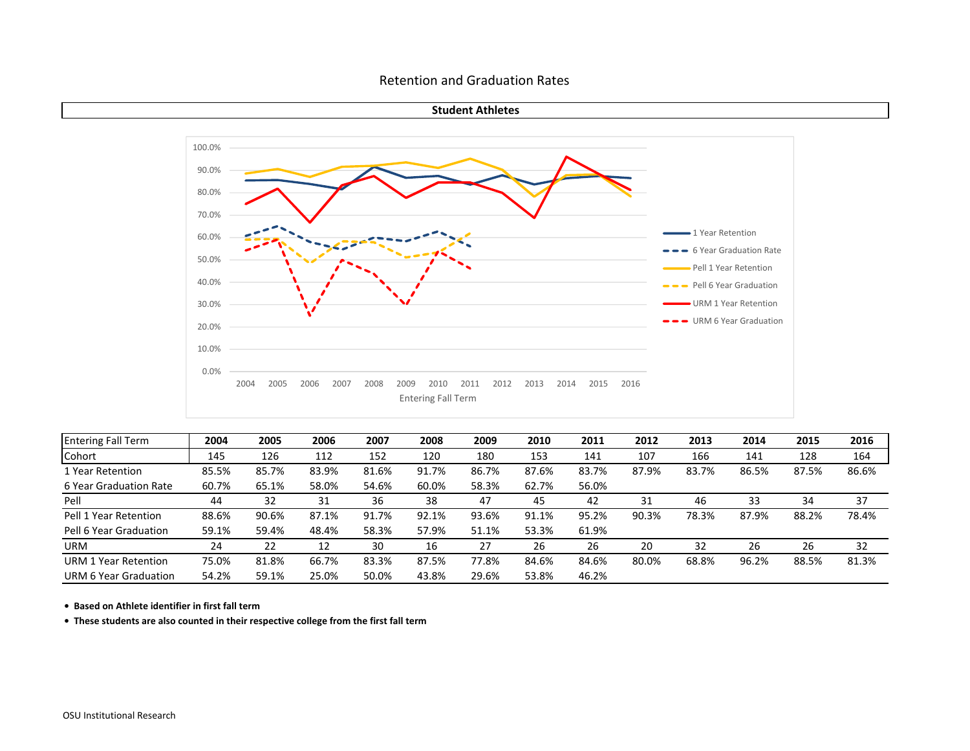#### Retention and Graduation Rates





| <b>Entering Fall Term</b> | 2004  | 2005  | 2006  | 2007  | 2008  | 2009  | 2010  | 2011  | 2012  | 2013  | 2014  | 2015  | 2016  |
|---------------------------|-------|-------|-------|-------|-------|-------|-------|-------|-------|-------|-------|-------|-------|
| Cohort                    | 145   | 126   | 112   | 152   | 120   | 180   | 153   | 141   | 107   | 166   | 141   | 128   | 164   |
| 1 Year Retention          | 85.5% | 85.7% | 83.9% | 81.6% | 91.7% | 86.7% | 87.6% | 83.7% | 87.9% | 83.7% | 86.5% | 87.5% | 86.6% |
| 6 Year Graduation Rate    | 60.7% | 65.1% | 58.0% | 54.6% | 60.0% | 58.3% | 62.7% | 56.0% |       |       |       |       |       |
| Pell                      | 44    | 32    | 31    | 36    | 38    | 47    | 45    | 42    | 31    | 46    | 33    | 34    | 37    |
| Pell 1 Year Retention     | 88.6% | 90.6% | 87.1% | 91.7% | 92.1% | 93.6% | 91.1% | 95.2% | 90.3% | 78.3% | 87.9% | 88.2% | 78.4% |
| Pell 6 Year Graduation    | 59.1% | 59.4% | 48.4% | 58.3% | 57.9% | 51.1% | 53.3% | 61.9% |       |       |       |       |       |
| <b>URM</b>                | 24    | 22    | 12    | 30    | 16    | 27    | 26    | 26    | 20    | 32    | 26    | 26    | 32    |
| URM 1 Year Retention      | 75.0% | 81.8% | 66.7% | 83.3% | 87.5% | 77.8% | 84.6% | 84.6% | 80.0% | 68.8% | 96.2% | 88.5% | 81.3% |
| URM 6 Year Graduation     | 54.2% | 59.1% | 25.0% | 50.0% | 43.8% | 29.6% | 53.8% | 46.2% |       |       |       |       |       |

**• Based on Athlete identifier in first fall term**

**• These students are also counted in their respective college from the first fall term**